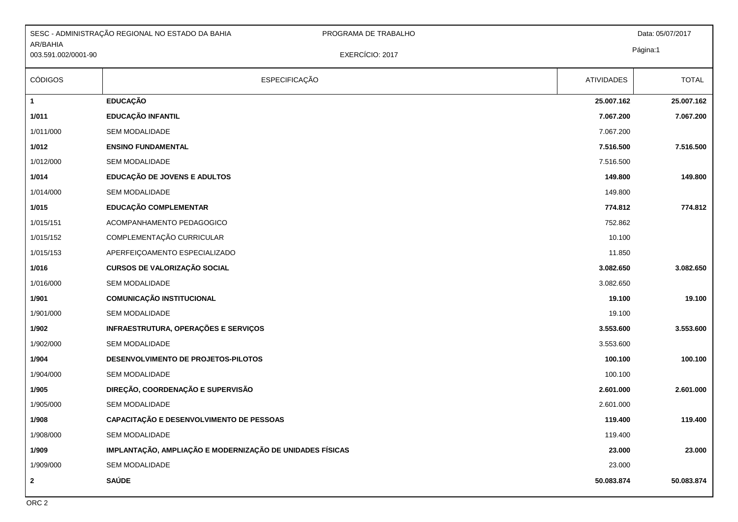|                                 | SESC - ADMINISTRAÇÃO REGIONAL NO ESTADO DA BAHIA<br>PROGRAMA DE TRABALHO |                   | Data: 05/07/2017 |
|---------------------------------|--------------------------------------------------------------------------|-------------------|------------------|
| AR/BAHIA<br>003.591.002/0001-90 | EXERCÍCIO: 2017                                                          |                   | Página:1         |
|                                 |                                                                          |                   |                  |
| <b>CÓDIGOS</b>                  | <b>ESPECIFICAÇÃO</b>                                                     | <b>ATIVIDADES</b> | <b>TOTAL</b>     |
| $\mathbf 1$                     | <b>EDUCAÇÃO</b>                                                          | 25.007.162        | 25.007.162       |
| 1/011                           | EDUCAÇÃO INFANTIL                                                        | 7.067.200         | 7.067.200        |
| 1/011/000                       | <b>SEM MODALIDADE</b>                                                    | 7.067.200         |                  |
| 1/012                           | <b>ENSINO FUNDAMENTAL</b>                                                | 7.516.500         | 7.516.500        |
| 1/012/000                       | SEM MODALIDADE                                                           | 7.516.500         |                  |
| 1/014                           | EDUCAÇÃO DE JOVENS E ADULTOS                                             | 149.800           | 149.800          |
| 1/014/000                       | <b>SEM MODALIDADE</b>                                                    | 149.800           |                  |
| 1/015                           | EDUCAÇÃO COMPLEMENTAR                                                    | 774.812           | 774.812          |
| 1/015/151                       | ACOMPANHAMENTO PEDAGOGICO                                                | 752.862           |                  |
| 1/015/152                       | COMPLEMENTAÇÃO CURRICULAR                                                | 10.100            |                  |
| 1/015/153                       | APERFEIÇOAMENTO ESPECIALIZADO                                            | 11.850            |                  |
| 1/016                           | CURSOS DE VALORIZAÇÃO SOCIAL                                             | 3.082.650         | 3.082.650        |
| 1/016/000                       | <b>SEM MODALIDADE</b>                                                    | 3.082.650         |                  |
| 1/901                           | <b>COMUNICAÇÃO INSTITUCIONAL</b>                                         | 19.100            | 19.100           |
| 1/901/000                       | <b>SEM MODALIDADE</b>                                                    | 19.100            |                  |
| 1/902                           | INFRAESTRUTURA, OPERAÇÕES E SERVIÇOS                                     | 3.553.600         | 3.553.600        |
| 1/902/000                       | <b>SEM MODALIDADE</b>                                                    | 3.553.600         |                  |
| 1/904                           | DESENVOLVIMENTO DE PROJETOS-PILOTOS                                      | 100.100           | 100.100          |
| 1/904/000                       | <b>SEM MODALIDADE</b>                                                    | 100.100           |                  |
| 1/905                           | DIREÇÃO, COORDENAÇÃO E SUPERVISÃO                                        | 2.601.000         | 2.601.000        |
| 1/905/000                       | <b>SEM MODALIDADE</b>                                                    | 2.601.000         |                  |
| 1/908                           | CAPACITAÇÃO E DESENVOLVIMENTO DE PESSOAS                                 | 119.400           | 119.400          |
| 1/908/000                       | <b>SEM MODALIDADE</b>                                                    | 119.400           |                  |
| 1/909                           | IMPLANTAÇÃO, AMPLIAÇÃO E MODERNIZAÇÃO DE UNIDADES FÍSICAS                | 23.000            | 23.000           |
| 1/909/000                       | <b>SEM MODALIDADE</b>                                                    | 23.000            |                  |
| $\mathbf{2}$                    | <b>SAÚDE</b>                                                             | 50.083.874        | 50.083.874       |
|                                 |                                                                          |                   |                  |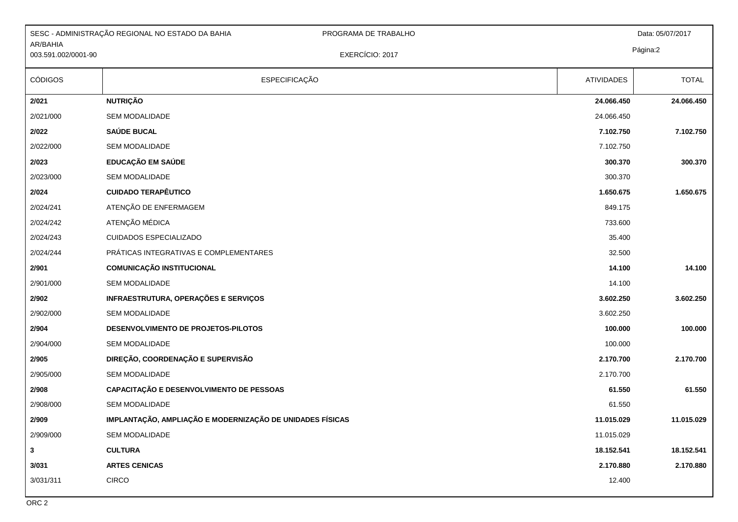|                                 | SESC - ADMINISTRAÇÃO REGIONAL NO ESTADO DA BAHIA<br>PROGRAMA DE TRABALHO |                   | Data: 05/07/2017 |
|---------------------------------|--------------------------------------------------------------------------|-------------------|------------------|
| AR/BAHIA<br>003.591.002/0001-90 | EXERCÍCIO: 2017                                                          |                   | Página:2         |
| <b>CÓDIGOS</b>                  | <b>ESPECIFICAÇÃO</b>                                                     | <b>ATIVIDADES</b> | <b>TOTAL</b>     |
| 2/021                           | <b>NUTRIÇÃO</b>                                                          | 24.066.450        | 24.066.450       |
| 2/021/000                       | <b>SEM MODALIDADE</b>                                                    | 24.066.450        |                  |
| 2/022                           | SAÚDE BUCAL                                                              | 7.102.750         | 7.102.750        |
| 2/022/000                       | <b>SEM MODALIDADE</b>                                                    | 7.102.750         |                  |
| 2/023                           | EDUCAÇÃO EM SAÚDE                                                        | 300.370           | 300.370          |
| 2/023/000                       | <b>SEM MODALIDADE</b>                                                    | 300.370           |                  |
| 2/024                           | <b>CUIDADO TERAPÊUTICO</b>                                               | 1.650.675         | 1.650.675        |
| 2/024/241                       | ATENÇÃO DE ENFERMAGEM                                                    | 849.175           |                  |
| 2/024/242                       | ATENÇÃO MÉDICA                                                           | 733.600           |                  |
| 2/024/243                       | CUIDADOS ESPECIALIZADO                                                   | 35.400            |                  |
| 2/024/244                       | PRÁTICAS INTEGRATIVAS E COMPLEMENTARES                                   | 32.500            |                  |
| 2/901                           | <b>COMUNICAÇÃO INSTITUCIONAL</b>                                         | 14.100            | 14.100           |
| 2/901/000                       | <b>SEM MODALIDADE</b>                                                    | 14.100            |                  |
| 2/902                           | INFRAESTRUTURA, OPERAÇÕES E SERVIÇOS                                     | 3.602.250         | 3.602.250        |
| 2/902/000                       | <b>SEM MODALIDADE</b>                                                    | 3.602.250         |                  |
| 2/904                           | DESENVOLVIMENTO DE PROJETOS-PILOTOS                                      | 100.000           | 100.000          |
| 2/904/000                       | <b>SEM MODALIDADE</b>                                                    | 100.000           |                  |
| 2/905                           | DIREÇÃO, COORDENAÇÃO E SUPERVISÃO                                        | 2.170.700         | 2.170.700        |
| 2/905/000                       | <b>SEM MODALIDADE</b>                                                    | 2.170.700         |                  |
| 2/908                           | CAPACITAÇÃO E DESENVOLVIMENTO DE PESSOAS                                 | 61.550            | 61.550           |
| 2/908/000                       | <b>SEM MODALIDADE</b>                                                    | 61.550            |                  |
| 2/909                           | IMPLANTAÇÃO, AMPLIAÇÃO E MODERNIZAÇÃO DE UNIDADES FÍSICAS                | 11.015.029        | 11.015.029       |
| 2/909/000                       | SEM MODALIDADE                                                           | 11.015.029        |                  |
| $\mathbf{3}$                    | <b>CULTURA</b>                                                           | 18.152.541        | 18.152.541       |
| 3/031                           | <b>ARTES CENICAS</b>                                                     | 2.170.880         | 2.170.880        |
| 3/031/311                       | <b>CIRCO</b>                                                             | 12.400            |                  |
|                                 |                                                                          |                   |                  |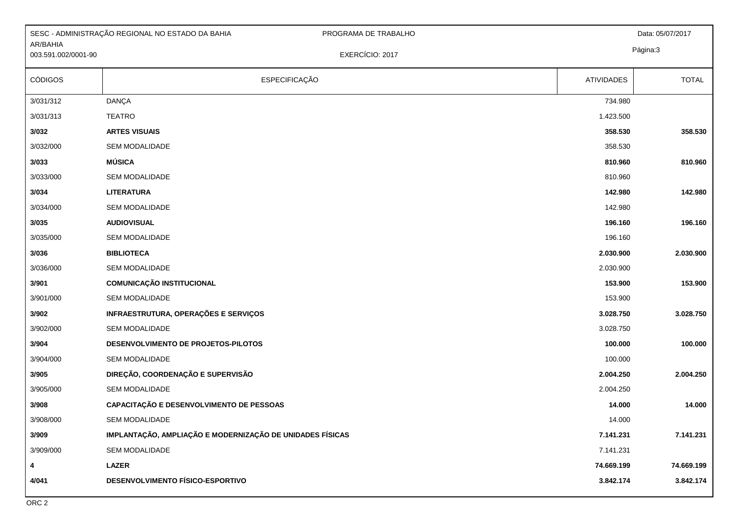|                                 | SESC - ADMINISTRAÇÃO REGIONAL NO ESTADO DA BAHIA<br>PROGRAMA DE TRABALHO |                   | Data: 05/07/2017 |
|---------------------------------|--------------------------------------------------------------------------|-------------------|------------------|
| AR/BAHIA<br>003.591.002/0001-90 | EXERCÍCIO: 2017                                                          |                   | Página:3         |
| <b>CÓDIGOS</b>                  | <b>ESPECIFICAÇÃO</b>                                                     | <b>ATIVIDADES</b> | <b>TOTAL</b>     |
| 3/031/312                       | <b>DANÇA</b>                                                             | 734.980           |                  |
| 3/031/313                       | <b>TEATRO</b>                                                            | 1.423.500         |                  |
| 3/032                           | <b>ARTES VISUAIS</b>                                                     | 358.530           | 358.530          |
| 3/032/000                       | <b>SEM MODALIDADE</b>                                                    | 358.530           |                  |
| 3/033                           | <b>MÚSICA</b>                                                            | 810.960           | 810.960          |
| 3/033/000                       | <b>SEM MODALIDADE</b>                                                    | 810.960           |                  |
| 3/034                           | <b>LITERATURA</b>                                                        | 142.980           | 142.980          |
| 3/034/000                       | <b>SEM MODALIDADE</b>                                                    | 142.980           |                  |
| 3/035                           | <b>AUDIOVISUAL</b>                                                       | 196.160           | 196.160          |
| 3/035/000                       | <b>SEM MODALIDADE</b>                                                    | 196.160           |                  |
| 3/036                           | <b>BIBLIOTECA</b>                                                        | 2.030.900         | 2.030.900        |
| 3/036/000                       | SEM MODALIDADE                                                           | 2.030.900         |                  |
| 3/901                           | <b>COMUNICAÇÃO INSTITUCIONAL</b>                                         | 153.900           | 153.900          |
| 3/901/000                       | <b>SEM MODALIDADE</b>                                                    | 153.900           |                  |
| 3/902                           | INFRAESTRUTURA, OPERAÇÕES E SERVIÇOS                                     | 3.028.750         | 3.028.750        |
| 3/902/000                       | <b>SEM MODALIDADE</b>                                                    | 3.028.750         |                  |
| 3/904                           | DESENVOLVIMENTO DE PROJETOS-PILOTOS                                      | 100.000           | 100.000          |
| 3/904/000                       | <b>SEM MODALIDADE</b>                                                    | 100.000           |                  |
| 3/905                           | DIREÇÃO, COORDENAÇÃO E SUPERVISÃO                                        | 2.004.250         | 2.004.250        |
| 3/905/000                       | <b>SEM MODALIDADE</b>                                                    | 2.004.250         |                  |
| 3/908                           | CAPACITAÇÃO E DESENVOLVIMENTO DE PESSOAS                                 | 14.000            | 14.000           |
| 3/908/000                       | SEM MODALIDADE                                                           | 14.000            |                  |
| 3/909                           | IMPLANTAÇÃO, AMPLIAÇÃO E MODERNIZAÇÃO DE UNIDADES FÍSICAS                | 7.141.231         | 7.141.231        |
| 3/909/000                       | <b>SEM MODALIDADE</b>                                                    | 7.141.231         |                  |
| 4                               | <b>LAZER</b>                                                             | 74.669.199        | 74.669.199       |
| 4/041                           | DESENVOLVIMENTO FÍSICO-ESPORTIVO                                         | 3.842.174         | 3.842.174        |
|                                 |                                                                          |                   |                  |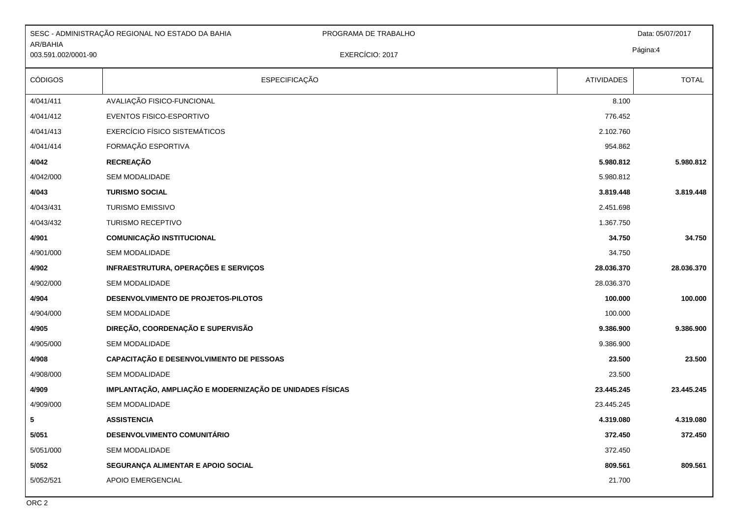|                                 | SESC - ADMINISTRAÇÃO REGIONAL NO ESTADO DA BAHIA<br>PROGRAMA DE TRABALHO |                   | Data: 05/07/2017 |
|---------------------------------|--------------------------------------------------------------------------|-------------------|------------------|
| AR/BAHIA<br>003.591.002/0001-90 | EXERCÍCIO: 2017                                                          |                   | Página:4         |
|                                 |                                                                          |                   |                  |
| <b>CÓDIGOS</b>                  | <b>ESPECIFICAÇÃO</b>                                                     | <b>ATIVIDADES</b> | <b>TOTAL</b>     |
| 4/041/411                       | AVALIAÇÃO FISICO-FUNCIONAL                                               | 8.100             |                  |
| 4/041/412                       | EVENTOS FISICO-ESPORTIVO                                                 | 776.452           |                  |
| 4/041/413                       | <b>EXERCÍCIO FÍSICO SISTEMÁTICOS</b>                                     | 2.102.760         |                  |
| 4/041/414                       | FORMAÇÃO ESPORTIVA                                                       | 954.862           |                  |
| 4/042                           | <b>RECREAÇÃO</b>                                                         | 5.980.812         | 5.980.812        |
| 4/042/000                       | SEM MODALIDADE                                                           | 5.980.812         |                  |
| 4/043                           | <b>TURISMO SOCIAL</b>                                                    | 3.819.448         | 3.819.448        |
| 4/043/431                       | <b>TURISMO EMISSIVO</b>                                                  | 2.451.698         |                  |
| 4/043/432                       | TURISMO RECEPTIVO                                                        | 1.367.750         |                  |
| 4/901                           | <b>COMUNICAÇÃO INSTITUCIONAL</b>                                         | 34.750            | 34.750           |
| 4/901/000                       | SEM MODALIDADE                                                           | 34.750            |                  |
| 4/902                           | <b>INFRAESTRUTURA, OPERAÇÕES E SERVIÇOS</b>                              | 28.036.370        | 28.036.370       |
| 4/902/000                       | SEM MODALIDADE                                                           | 28.036.370        |                  |
| 4/904                           | DESENVOLVIMENTO DE PROJETOS-PILOTOS                                      | 100.000           | 100.000          |
| 4/904/000                       | <b>SEM MODALIDADE</b>                                                    | 100.000           |                  |
| 4/905                           | DIREÇÃO, COORDENAÇÃO E SUPERVISÃO                                        | 9.386.900         | 9.386.900        |
| 4/905/000                       | SEM MODALIDADE                                                           | 9.386.900         |                  |
| 4/908                           | CAPACITAÇÃO E DESENVOLVIMENTO DE PESSOAS                                 | 23.500            | 23.500           |
| 4/908/000                       | SEM MODALIDADE                                                           | 23.500            |                  |
| 4/909                           | IMPLANTAÇÃO, AMPLIAÇÃO E MODERNIZAÇÃO DE UNIDADES FÍSICAS                | 23.445.245        | 23.445.245       |
| 4/909/000                       | SEM MODALIDADE                                                           | 23.445.245        |                  |
| $\sqrt{5}$                      | <b>ASSISTENCIA</b>                                                       | 4.319.080         | 4.319.080        |
| 5/051                           | DESENVOLVIMENTO COMUNITÁRIO                                              | 372.450           | 372.450          |
| 5/051/000                       | SEM MODALIDADE                                                           | 372.450           |                  |
| 5/052                           | SEGURANÇA ALIMENTAR E APOIO SOCIAL                                       | 809.561           | 809.561          |
| 5/052/521                       | APOIO EMERGENCIAL                                                        | 21.700            |                  |
|                                 |                                                                          |                   |                  |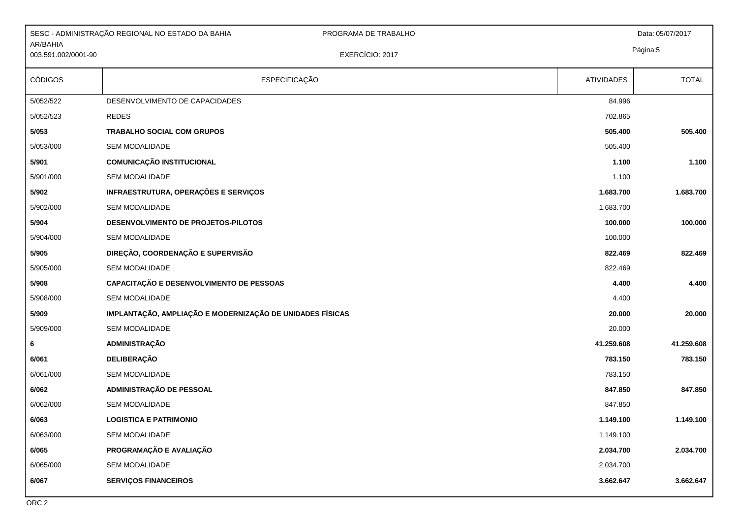|                                 | SESC - ADMINISTRAÇÃO REGIONAL NO ESTADO DA BAHIA<br>PROGRAMA DE TRABALHO |                   | Data: 05/07/2017 |
|---------------------------------|--------------------------------------------------------------------------|-------------------|------------------|
| AR/BAHIA<br>003.591.002/0001-90 | EXERCÍCIO: 2017                                                          |                   | Página:5         |
|                                 |                                                                          |                   |                  |
| <b>CÓDIGOS</b>                  | <b>ESPECIFICAÇÃO</b>                                                     | <b>ATIVIDADES</b> | <b>TOTAL</b>     |
| 5/052/522                       | DESENVOLVIMENTO DE CAPACIDADES                                           | 84.996            |                  |
| 5/052/523                       | <b>REDES</b>                                                             | 702.865           |                  |
| 5/053                           | <b>TRABALHO SOCIAL COM GRUPOS</b>                                        | 505.400           | 505.400          |
| 5/053/000                       | SEM MODALIDADE                                                           | 505.400           |                  |
| 5/901                           | COMUNICAÇÃO INSTITUCIONAL                                                | 1.100             | 1.100            |
| 5/901/000                       | SEM MODALIDADE                                                           | 1.100             |                  |
| 5/902                           | INFRAESTRUTURA, OPERAÇÕES E SERVIÇOS                                     | 1.683.700         | 1.683.700        |
| 5/902/000                       | <b>SEM MODALIDADE</b>                                                    | 1.683.700         |                  |
| 5/904                           | DESENVOLVIMENTO DE PROJETOS-PILOTOS                                      | 100.000           | 100.000          |
| 5/904/000                       | <b>SEM MODALIDADE</b>                                                    | 100.000           |                  |
| 5/905                           | DIREÇÃO, COORDENAÇÃO E SUPERVISÃO                                        | 822.469           | 822.469          |
| 5/905/000                       | <b>SEM MODALIDADE</b>                                                    | 822.469           |                  |
| 5/908                           | CAPACITAÇÃO E DESENVOLVIMENTO DE PESSOAS                                 | 4.400             | 4.400            |
| 5/908/000                       | <b>SEM MODALIDADE</b>                                                    | 4.400             |                  |
| 5/909                           | IMPLANTAÇÃO, AMPLIAÇÃO E MODERNIZAÇÃO DE UNIDADES FÍSICAS                | 20.000            | 20.000           |
| 5/909/000                       | <b>SEM MODALIDADE</b>                                                    | 20.000            |                  |
| 6                               | ADMINISTRAÇÃO                                                            | 41.259.608        | 41.259.608       |
| 6/061                           | <b>DELIBERAÇÃO</b>                                                       | 783.150           | 783.150          |
| 6/061/000                       | <b>SEM MODALIDADE</b>                                                    | 783.150           |                  |
| 6/062                           | ADMINISTRAÇÃO DE PESSOAL                                                 | 847.850           | 847.850          |
| 6/062/000                       | SEM MODALIDADE                                                           | 847.850           |                  |
| 6/063                           | <b>LOGISTICA E PATRIMONIO</b>                                            | 1.149.100         | 1.149.100        |
| 6/063/000                       | SEM MODALIDADE                                                           | 1.149.100         |                  |
| 6/065                           | PROGRAMAÇÃO E AVALIAÇÃO                                                  | 2.034.700         | 2.034.700        |
| 6/065/000                       | SEM MODALIDADE                                                           | 2.034.700         |                  |
| 6/067                           | <b>SERVIÇOS FINANCEIROS</b>                                              | 3.662.647         | 3.662.647        |
|                                 |                                                                          |                   |                  |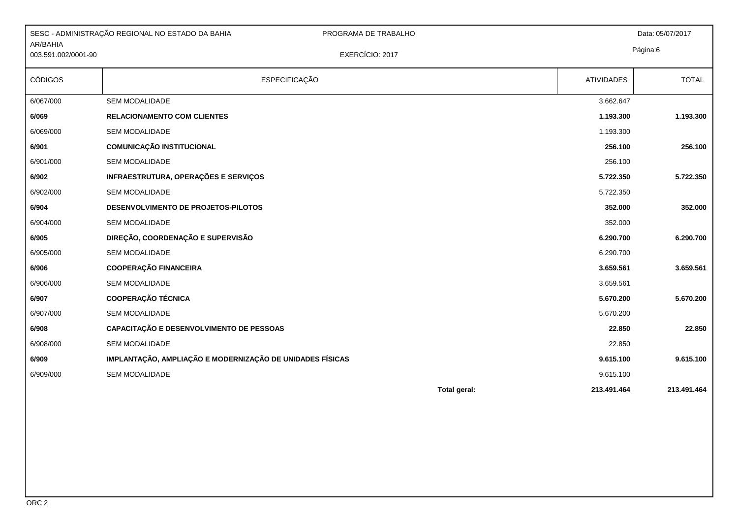|                                 | SESC - ADMINISTRAÇÃO REGIONAL NO ESTADO DA BAHIA<br>PROGRAMA DE TRABALHO |                             | Data: 05/07/2017 |
|---------------------------------|--------------------------------------------------------------------------|-----------------------------|------------------|
| AR/BAHIA<br>003.591.002/0001-90 | EXERCÍCIO: 2017                                                          |                             | Página:6         |
| <b>CÓDIGOS</b>                  | <b>ESPECIFICAÇÃO</b>                                                     | <b>ATIVIDADES</b>           | <b>TOTAL</b>     |
| 6/067/000                       | SEM MODALIDADE                                                           | 3.662.647                   |                  |
| 6/069                           | <b>RELACIONAMENTO COM CLIENTES</b>                                       | 1.193.300                   | 1.193.300        |
| 6/069/000                       | <b>SEM MODALIDADE</b>                                                    | 1.193.300                   |                  |
| 6/901                           | <b>COMUNICAÇÃO INSTITUCIONAL</b>                                         | 256.100                     | 256.100          |
| 6/901/000                       | SEM MODALIDADE                                                           | 256.100                     |                  |
| 6/902                           | INFRAESTRUTURA, OPERAÇÕES E SERVIÇOS                                     | 5.722.350                   | 5.722.350        |
| 6/902/000                       | <b>SEM MODALIDADE</b>                                                    | 5.722.350                   |                  |
| 6/904                           | DESENVOLVIMENTO DE PROJETOS-PILOTOS                                      | 352.000                     | 352.000          |
| 6/904/000                       | <b>SEM MODALIDADE</b>                                                    | 352.000                     |                  |
| 6/905                           | DIREÇÃO, COORDENAÇÃO E SUPERVISÃO                                        | 6.290.700                   | 6.290.700        |
| 6/905/000                       | SEM MODALIDADE                                                           | 6.290.700                   |                  |
| 6/906                           | <b>COOPERAÇÃO FINANCEIRA</b>                                             | 3.659.561                   | 3.659.561        |
| 6/906/000                       | <b>SEM MODALIDADE</b>                                                    | 3.659.561                   |                  |
| 6/907                           | <b>COOPERAÇÃO TÉCNICA</b>                                                | 5.670.200                   | 5.670.200        |
| 6/907/000                       | <b>SEM MODALIDADE</b>                                                    | 5.670.200                   |                  |
| 6/908                           | CAPACITAÇÃO E DESENVOLVIMENTO DE PESSOAS                                 | 22.850                      | 22.850           |
| 6/908/000                       | SEM MODALIDADE                                                           | 22.850                      |                  |
| 6/909                           | IMPLANTAÇÃO, AMPLIAÇÃO E MODERNIZAÇÃO DE UNIDADES FÍSICAS                | 9.615.100                   | 9.615.100        |
| 6/909/000                       | <b>SEM MODALIDADE</b>                                                    | 9.615.100                   |                  |
|                                 |                                                                          | Total geral:<br>213.491.464 | 213.491.464      |